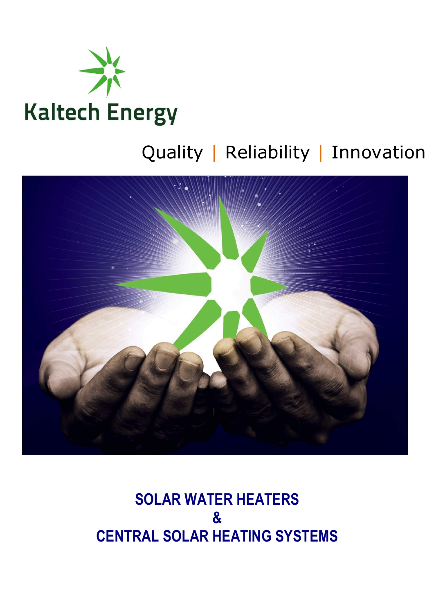

# Quality | Reliability | Innovation



## **SOLAR WATER HEATERS & CENTRAL SOLAR HEATING SYSTEMS**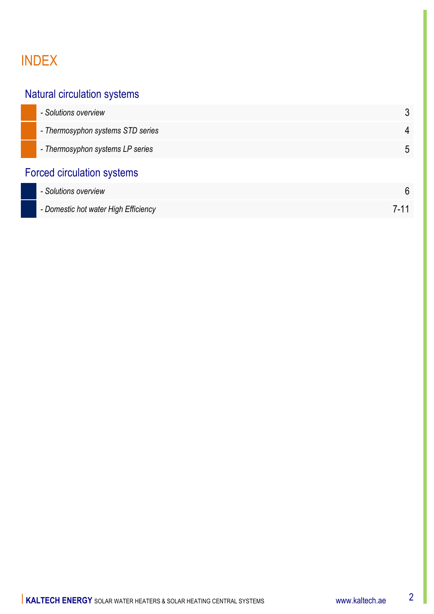### INDEX

#### Natural circulation systems

| - Solutions overview                 |             |
|--------------------------------------|-------------|
| - Thermosyphon systems STD series    | 4           |
| - Thermosyphon systems LP series     | $\mathbf b$ |
| <b>Forced circulation systems</b>    |             |
| - Solutions overview                 | 6           |
| - Domestic hot water High Efficiency | 7-11        |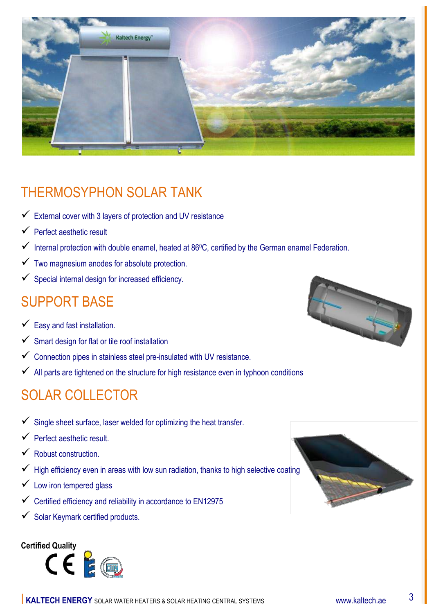

### THERMOSYPHON SOLAR TANK

- $\checkmark$  External cover with 3 layers of protection and UV resistance
- $\checkmark$  Perfect aesthetic result
- $\checkmark$  Internal protection with double enamel, heated at 86°C, certified by the German enamel Federation.
- $\checkmark$  Two magnesium anodes for absolute protection.
- $\checkmark$  Special internal design for increased efficiency.

#### SUPPORT BASE

- $\checkmark$  Easy and fast installation.
- $\checkmark$  Smart design for flat or tile roof installation
- $\checkmark$  Connection pipes in stainless steel pre-insulated with UV resistance.
- $\checkmark$  All parts are tightened on the structure for high resistance even in typhoon conditions

#### SOLAR COLLECTOR

- $\checkmark$  Single sheet surface, laser welded for optimizing the heat transfer.
- $\checkmark$  Perfect aesthetic result.
- $\checkmark$  Robust construction.
- $\checkmark$  High efficiency even in areas with low sun radiation, thanks to high selective coating
- $\checkmark$  Low iron tempered glass
- $\checkmark$  Certified efficiency and reliability in accordance to EN12975
- $\checkmark$  Solar Keymark certified products.





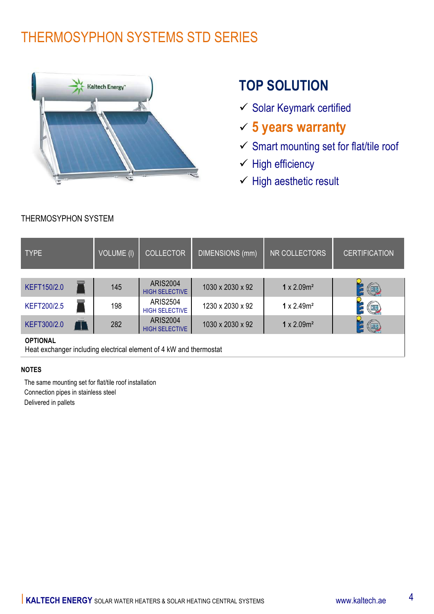### THERMOSYPHON SYSTEMS STD SERIES



### **TOP SOLUTION**

- $\checkmark$  Solar Keymark certified
- ü **5 years warranty**
- $\checkmark$  Smart mounting set for flat/tile roof
- $\checkmark$  High efficiency
- $\checkmark$  High aesthetic result

| <b>TYPE</b>                                                                           | <b>VOLUME (I)</b> | <b>COLLECTOR</b>                         | DIMENSIONS (mm)  | NR COLLECTORS                  | <b>CERTIFICATION</b>  |
|---------------------------------------------------------------------------------------|-------------------|------------------------------------------|------------------|--------------------------------|-----------------------|
|                                                                                       |                   |                                          |                  |                                |                       |
| KEFT150/2.0                                                                           | 145               | <b>ARIS2004</b><br><b>HIGH SELECTIVE</b> | 1030 x 2030 x 92 | $1 \times 2.09m^2$             | $(\blacksquare)$      |
| <b>KEFT200/2.5</b>                                                                    | 198               | <b>ARIS2504</b><br><b>HIGH SELECTIVE</b> | 1230 x 2030 x 92 | $1 \times 2.49$ m <sup>2</sup> | $\left( \blacksquare$ |
| KEFT300/2.0                                                                           | 282               | <b>ARIS2004</b><br><b>HIGH SELECTIVE</b> | 1030 x 2030 x 92 | $1 \times 2.09m^2$             | <u>(org</u>           |
| <b>OPTIONAL</b><br>Heat exchanger including electrical element of 4 kW and thermostat |                   |                                          |                  |                                |                       |

#### **NOTES**

 The same mounting set for flat/tile roof installation Connection pipes in stainless steel Delivered in pallets

THERMOSYPHON SYSTEM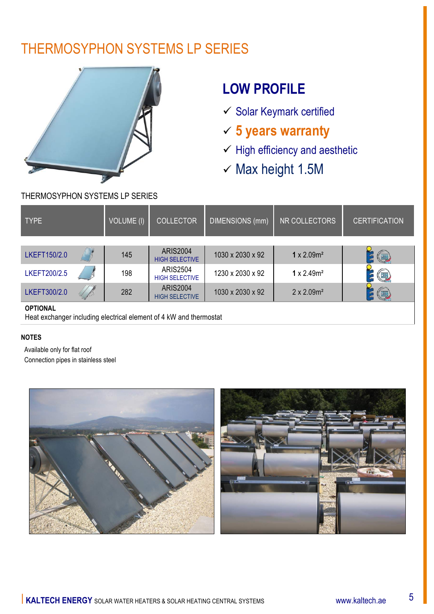### THERMOSYPHON SYSTEMS LP SERIES



## **LOW PROFILE**

- $\checkmark$  Solar Keymark certified
- ü **5 years warranty**
- $\checkmark$  High efficiency and aesthetic
- $×$  Max height 1.5M

#### THERMOSYPHON SYSTEMS LP SERIES

| <b>TYPE</b>     | VOLUME (I) | <b>COLLECTOR</b>                         | DIMENSIONS (mm)  | NR COLLECTORS                  | <b>CERTIFICATION</b>    |
|-----------------|------------|------------------------------------------|------------------|--------------------------------|-------------------------|
| LKEFT150/2.0    | 145        | <b>ARIS2004</b>                          | 1030 x 2030 x 92 | 1 x $2.09m^2$                  |                         |
|                 |            | <b>HIGH SELECTIVE</b>                    |                  |                                | $\overline{\mathbb{C}}$ |
| LKEFT200/2.5    | 198        | <b>ARIS2504</b><br><b>HIGH SELECTIVE</b> | 1230 x 2030 x 92 | $1 \times 2.49$ m <sup>2</sup> | Œ                       |
| LKEFT300/2.0    | 282        | <b>ARIS2004</b><br><b>HIGH SELECTIVE</b> | 1030 x 2030 x 92 | $2 \times 2.09$ m <sup>2</sup> | $(\Box)$                |
| <b>OPTIONAL</b> |            |                                          |                  |                                |                         |

Heat exchanger including electrical element of 4 kW and thermostat

#### **NOTES**

 Available only for flat roof Connection pipes in stainless steel

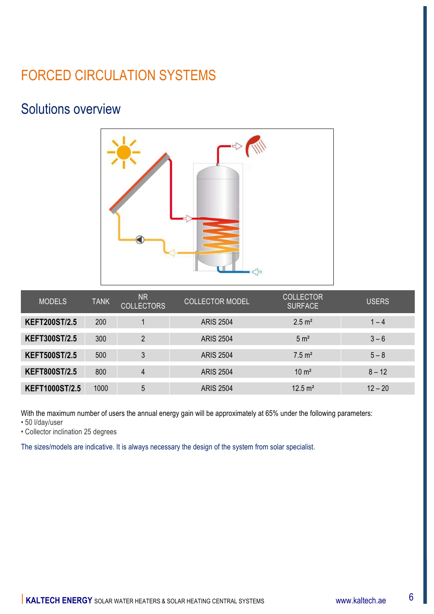### FORCED CIRCULATION SYSTEMS

#### Solutions overview



| <b>MODELS</b>         | <b>TANK</b> | <b>NR</b><br><b>COLLECTORS</b> | <b>COLLECTOR MODEL</b> | <b>COLLECTOR</b><br><b>SURFACE</b> | <b>USERS</b> |
|-----------------------|-------------|--------------------------------|------------------------|------------------------------------|--------------|
| <b>KEFT200ST/2.5</b>  | 200         |                                | <b>ARIS 2504</b>       | $2.5 \text{ m}^2$                  | $1 - 4$      |
| <b>KEFT300ST/2.5</b>  | 300         | $\overline{2}$                 | <b>ARIS 2504</b>       | 5 m <sup>2</sup>                   | $3 - 6$      |
| <b>KEFT500ST/2.5</b>  | 500         | 3                              | <b>ARIS 2504</b>       | $7.5 \text{ m}^2$                  | $5 - 8$      |
| <b>KEFT800ST/2.5</b>  | 800         | $\overline{4}$                 | <b>ARIS 2504</b>       | $10 \text{ m}^2$                   | $8 - 12$     |
| <b>KEFT1000ST/2.5</b> | 1000        | 5                              | <b>ARIS 2504</b>       | $12.5 \text{ m}^2$                 | $12 - 20$    |

With the maximum number of users the annual energy gain will be approximately at 65% under the following parameters:

• 50 l/day/user

• Collector inclination 25 degrees

The sizes/models are indicative. It is always necessary the design of the system from solar specialist.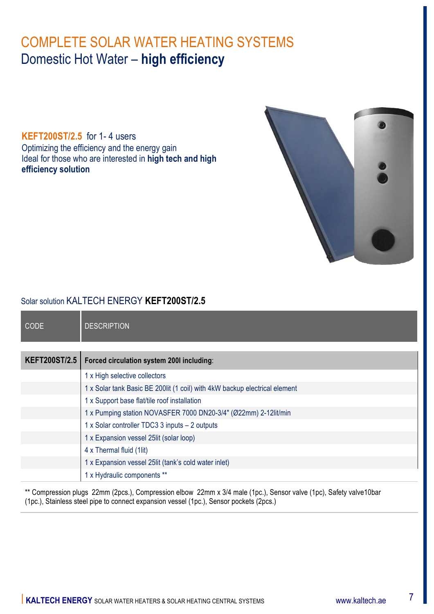**KEFT200ST/2.5** for 1- 4 users Optimizing the efficiency and the energy gain Ideal for those who are interested in **high tech and high efficiency solution**



#### Solar solution KALTECH ENERGY **KEFT200ST/2.5**

| <b>CODE</b>          | <b>DESCRIPTION</b>                                                          |
|----------------------|-----------------------------------------------------------------------------|
|                      |                                                                             |
| <b>KEFT200ST/2.5</b> | Forced circulation system 2001 including:                                   |
|                      | 1 x High selective collectors                                               |
|                      | 1 x Solar tank Basic BE 200 lit (1 coil) with 4kW backup electrical element |
|                      | 1 x Support base flat/tile roof installation                                |
|                      | 1 x Pumping station NOVASFER 7000 DN20-3/4" (Ø22mm) 2-12lit/min             |
|                      | 1 x Solar controller TDC3 3 inputs - 2 outputs                              |
|                      | 1 x Expansion vessel 25lit (solar loop)                                     |
|                      | 4 x Thermal fluid (1lit)                                                    |
|                      | 1 x Expansion vessel 25lit (tank's cold water inlet)                        |
|                      | 1 x Hydraulic components **                                                 |

\*\* Compression plugs 22mm (2pcs.), Compression elbow 22mm x 3/4 male (1pc.), Sensor valve (1pc), Safety valve10bar (1pc.), Stainless steel pipe to connect expansion vessel (1pc.), Sensor pockets (2pcs.)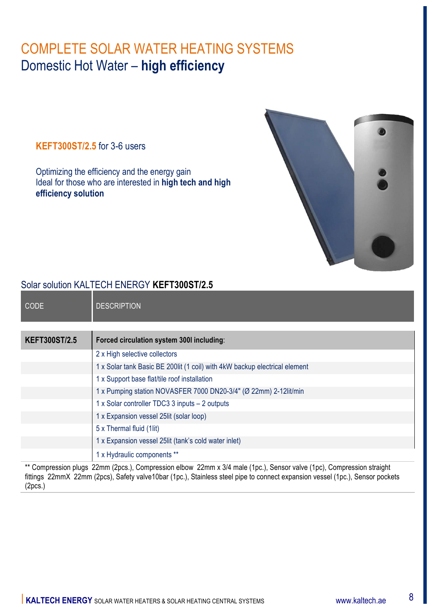**KEFT300ST/2.5** for 3-6 users

Optimizing the efficiency and the energy gain Ideal for those who are interested in **high tech and high efficiency solution**



#### Solar solution KALTECH ENERGY **KEFT300ST/2.5**

| <b>CODE</b>                                                                                                      | <b>DESCRIPTION</b>                                                          |  |  |
|------------------------------------------------------------------------------------------------------------------|-----------------------------------------------------------------------------|--|--|
|                                                                                                                  |                                                                             |  |  |
| <b>KEFT300ST/2.5</b>                                                                                             | Forced circulation system 300I including:                                   |  |  |
|                                                                                                                  | 2 x High selective collectors                                               |  |  |
|                                                                                                                  | 1 x Solar tank Basic BE 200 lit (1 coil) with 4kW backup electrical element |  |  |
|                                                                                                                  | 1 x Support base flat/tile roof installation                                |  |  |
|                                                                                                                  | 1 x Pumping station NOVASFER 7000 DN20-3/4" (Ø 22mm) 2-12lit/min            |  |  |
|                                                                                                                  | 1 x Solar controller TDC3 3 inputs - 2 outputs                              |  |  |
|                                                                                                                  | 1 x Expansion vessel 25lit (solar loop)                                     |  |  |
|                                                                                                                  | 5 x Thermal fluid (1lit)                                                    |  |  |
|                                                                                                                  | 1 x Expansion vessel 25 lit (tank's cold water inlet)                       |  |  |
|                                                                                                                  | 1 x Hydraulic components **                                                 |  |  |
| ** Compression pluge 22mm (2005) Compression albow 22mm y 3/4 male (100) Sopeor value (100) Compression straight |                                                                             |  |  |

\*\* Compression plugs 22mm (2pcs.), Compression elbow 22mm x 3/4 male (1pc.), Sensor valve (1pc), Compression straight fittings 22mmX 22mm (2pcs), Safety valve10bar (1pc.), Stainless steel pipe to connect expansion vessel (1pc.), Sensor pockets (2pcs.)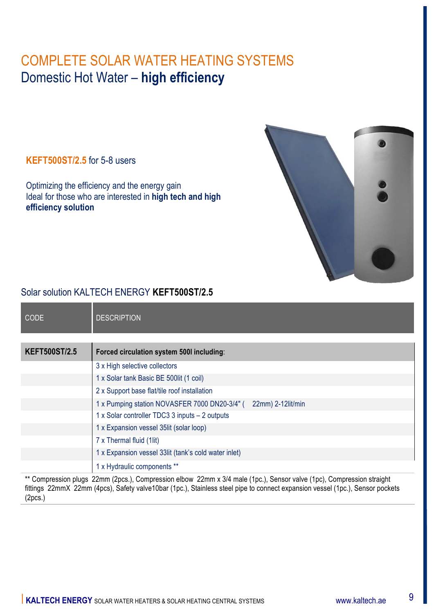#### **KEFT500ST/2.5** for 5-8 users

Optimizing the efficiency and the energy gain Ideal for those who are interested in **high tech and high efficiency solution**



#### Solar solution KALTECH ENERGY **KEFT500ST/2.5**

| <b>CODE</b>          | <b>DESCRIPTION</b>                                                 |
|----------------------|--------------------------------------------------------------------|
|                      |                                                                    |
| <b>KEFT500ST/2.5</b> | Forced circulation system 500I including:                          |
|                      | 3 x High selective collectors                                      |
|                      | 1 x Solar tank Basic BE 500lit (1 coil)                            |
|                      | 2 x Support base flat/tile roof installation                       |
|                      | 1 x Pumping station NOVASFER 7000 DN20-3/4" (<br>22mm) 2-12lit/min |
|                      | 1 x Solar controller TDC3 3 inputs - 2 outputs                     |
|                      | 1 x Expansion vessel 35lit (solar loop)                            |
|                      | 7 x Thermal fluid (1lit)                                           |
|                      | 1 x Expansion vessel 33lit (tank's cold water inlet)               |
|                      | 1 x Hydraulic components **                                        |

Compression plugs 22mm (2pcs.), Compression elbow 22mm x 3/4 male (1pc.), Sensor valve (1pc), Compression straight fittings 22mmX 22mm (4pcs), Safety valve10bar (1pc.), Stainless steel pipe to connect expansion vessel (1pc.), Sensor pockets (2pcs.)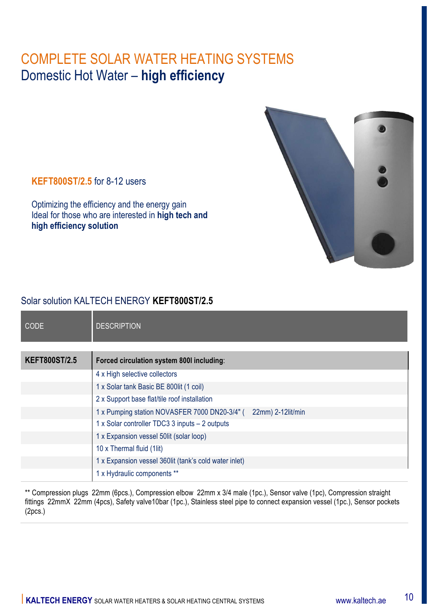

**KEFT800ST/2.5** for 8-12 users

Optimizing the efficiency and the energy gain Ideal for those who are interested in **high tech and high efficiency solution**

#### Solar solution KALTECH ENERGY **KEFT800ST/2.5**

| <b>CODE</b>          | <b>DESCRIPTION</b>                                                 |
|----------------------|--------------------------------------------------------------------|
| <b>KEFT800ST/2.5</b> | Forced circulation system 800I including:                          |
|                      | 4 x High selective collectors                                      |
|                      | 1 x Solar tank Basic BE 800lit (1 coil)                            |
|                      | 2 x Support base flat/tile roof installation                       |
|                      | 1 x Pumping station NOVASFER 7000 DN20-3/4" (<br>22mm) 2-12lit/min |
|                      | 1 x Solar controller TDC3 3 inputs - 2 outputs                     |
|                      | 1 x Expansion vessel 50lit (solar loop)                            |
|                      | 10 x Thermal fluid (1lit)                                          |
|                      | 1 x Expansion vessel 360lit (tank's cold water inlet)              |
|                      | 1 x Hydraulic components **                                        |

\*\* Compression plugs 22mm (6pcs.), Compression elbow 22mm x 3/4 male (1pc.), Sensor valve (1pc), Compression straight fittings 22mmX 22mm (4pcs), Safety valve10bar (1pc.), Stainless steel pipe to connect expansion vessel (1pc.), Sensor pockets (2pcs.)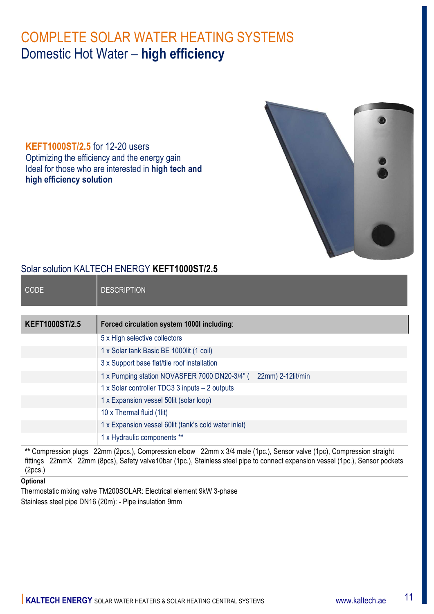**KEFT1000ST/2.5** for 12-20 users Optimizing the efficiency and the energy gain Ideal for those who are interested in **high tech and high efficiency solution**



#### Solar solution KALTECH ENERGY **KEFT1000ST/2.5**

| <b>CODE</b>           | <b>DESCRIPTION</b>                                                 |
|-----------------------|--------------------------------------------------------------------|
|                       |                                                                    |
| <b>KEFT1000ST/2.5</b> | Forced circulation system 1000l including:                         |
|                       | 5 x High selective collectors                                      |
|                       | 1 x Solar tank Basic BE 1000lit (1 coil)                           |
|                       | 3 x Support base flat/tile roof installation                       |
|                       | 1 x Pumping station NOVASFER 7000 DN20-3/4" (<br>22mm) 2-12lit/min |
|                       | 1 x Solar controller TDC3 3 inputs - 2 outputs                     |
|                       | 1 x Expansion vessel 50lit (solar loop)                            |
|                       | 10 x Thermal fluid (1lit)                                          |
|                       | 1 x Expansion vessel 60lit (tank's cold water inlet)               |
|                       | 1 x Hydraulic components **                                        |

**\*\*** Compression plugs 22mm (2pcs.), Compression elbow 22mm x 3/4 male (1pc.), Sensor valve (1pc), Compression straight fittings 22mmX 22mm (8pcs), Safety valve10bar (1pc.), Stainless steel pipe to connect expansion vessel (1pc.), Sensor pockets (2pcs.)

#### **Optional**

Thermostatic mixing valve TM200SOLAR: Electrical element 9kW 3-phase Stainless steel pipe DN16 (20m): - Pipe insulation 9mm